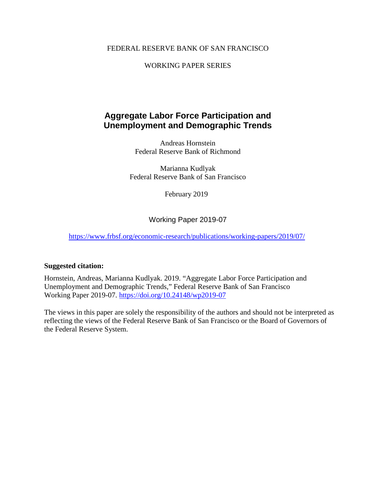#### FEDERAL RESERVE BANK OF SAN FRANCISCO

### WORKING PAPER SERIES

### **Aggregate Labor Force Participation and Unemployment and Demographic Trends**

Andreas Hornstein Federal Reserve Bank of Richmond

Marianna Kudlyak Federal Reserve Bank of San Francisco

February 2019

Working Paper 2019-07

<https://www.frbsf.org/economic-research/publications/working-papers/2019/07/>

#### **Suggested citation:**

Hornstein, Andreas, Marianna Kudlyak. 2019. "Aggregate Labor Force Participation and Unemployment and Demographic Trends," Federal Reserve Bank of San Francisco Working Paper 2019-07. https://doi.org/10.24148/wp2019-07

The views in this paper are solely the responsibility of the authors and should not be interpreted as reflecting the views of the Federal Reserve Bank of San Francisco or the Board of Governors of the Federal Reserve System.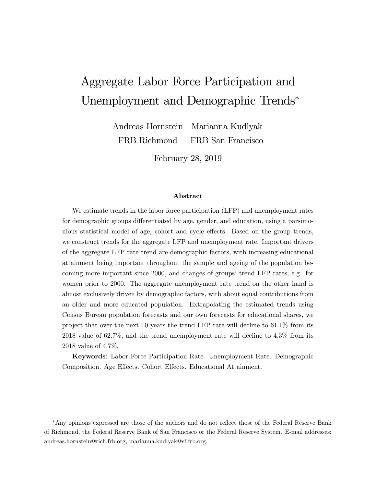# Aggregate Labor Force Participation and Unemployment and Demographic Trends

Andreas Hornstein FRB Richmond Marianna Kudlyak FRB San Francisco

February 28, 2019

#### Abstract

We estimate trends in the labor force participation (LFP) and unemployment rates for demographic groups differentiated by age, gender, and education, using a parsimonious statistical model of age, cohort and cycle effects. Based on the group trends, we construct trends for the aggregate LFP and unemployment rate. Important drivers of the aggregate LFP rate trend are demographic factors, with increasing educational attainment being important throughout the sample and ageing of the population becoming more important since 2000, and changes of groups' trend LFP rates, e.g. for women prior to 2000. The aggregate unemployment rate trend on the other hand is almost exclusively driven by demographic factors, with about equal contributions from an older and more educated population. Extrapolating the estimated trends using Census Bureau population forecasts and our own forecasts for educational shares, we project that over the next 10 years the trend LFP rate will decline to 61.1% from its 2018 value of 62.7%, and the trend unemployment rate will decline to 4.3% from its 2018 value of 4.7%.

Keywords: Labor Force Participation Rate. Unemployment Rate. Demographic Composition. Age Effects. Cohort Effects. Educational Attainment.

<sup>\*</sup>Any opinions expressed are those of the authors and do not reflect those of the Federal Reserve Bank of Richmond, the Federal Reserve Bank of San Francisco or the Federal Reserve System. E-mail addresses: andreas.hornstein@rich.frb.org, marianna.kudlyak@sf.frb.org.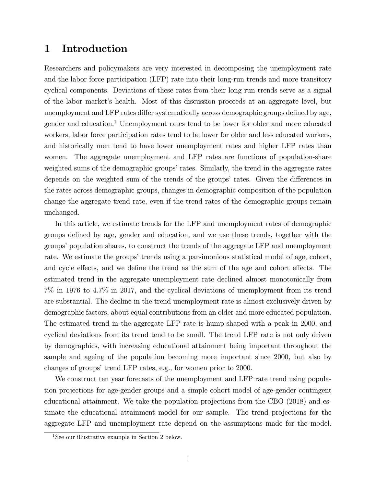### 1 Introduction

Researchers and policymakers are very interested in decomposing the unemployment rate and the labor force participation (LFP) rate into their long-run trends and more transitory cyclical components. Deviations of these rates from their long run trends serve as a signal of the labor marketís health. Most of this discussion proceeds at an aggregate level, but unemployment and LFP rates differ systematically across demographic groups defined by age, gender and education.<sup>1</sup> Unemployment rates tend to be lower for older and more educated workers, labor force participation rates tend to be lower for older and less educated workers, and historically men tend to have lower unemployment rates and higher LFP rates than women. The aggregate unemployment and LFP rates are functions of population-share weighted sums of the demographic groups' rates. Similarly, the trend in the aggregate rates depends on the weighted sum of the trends of the groups' rates. Given the differences in the rates across demographic groups, changes in demographic composition of the population change the aggregate trend rate, even if the trend rates of the demographic groups remain unchanged.

In this article, we estimate trends for the LFP and unemployment rates of demographic groups deÖned by age, gender and education, and we use these trends, together with the groups' population shares, to construct the trends of the aggregate LFP and unemployment rate. We estimate the groups' trends using a parsimonious statistical model of age, cohort, and cycle effects, and we define the trend as the sum of the age and cohort effects. The estimated trend in the aggregate unemployment rate declined almost monotonically from 7% in 1976 to 4.7% in 2017, and the cyclical deviations of unemployment from its trend are substantial. The decline in the trend unemployment rate is almost exclusively driven by demographic factors, about equal contributions from an older and more educated population. The estimated trend in the aggregate LFP rate is hump-shaped with a peak in 2000, and cyclical deviations from its trend tend to be small. The trend LFP rate is not only driven by demographics, with increasing educational attainment being important throughout the sample and ageing of the population becoming more important since 2000, but also by changes of groups' trend LFP rates, e.g., for women prior to 2000.

We construct ten year forecasts of the unemployment and LFP rate trend using population projections for age-gender groups and a simple cohort model of age-gender contingent educational attainment. We take the population projections from the CBO (2018) and estimate the educational attainment model for our sample. The trend projections for the aggregate LFP and unemployment rate depend on the assumptions made for the model.

<sup>&</sup>lt;sup>1</sup>See our illustrative example in Section 2 below.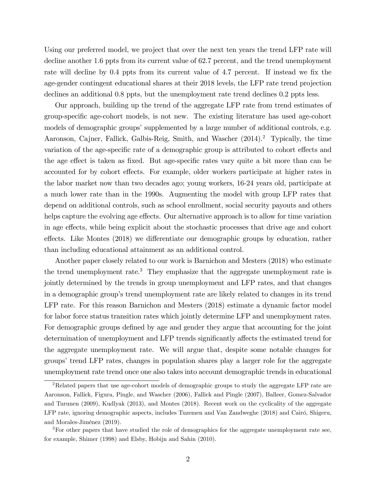Using our preferred model, we project that over the next ten years the trend LFP rate will decline another 1.6 ppts from its current value of 62.7 percent, and the trend unemployment rate will decline by 0.4 ppts from its current value of 4.7 percent. If instead we fix the age-gender contingent educational shares at their 2018 levels, the LFP rate trend projection declines an additional 0.8 ppts, but the unemployment rate trend declines 0.2 ppts less.

Our approach, building up the trend of the aggregate LFP rate from trend estimates of group-speciÖc age-cohort models, is not new. The existing literature has used age-cohort models of demographic groups' supplemented by a large number of additional controls, e.g. Aaronson, Cajner, Fallick, Galbis-Reig, Smith, and Wascher (2014).<sup>2</sup> Typically, the time variation of the age-specific rate of a demographic group is attributed to cohort effects and the age effect is taken as fixed. But age-specific rates vary quite a bit more than can be accounted for by cohort effects. For example, older workers participate at higher rates in the labor market now than two decades ago; young workers, 16-24 years old, participate at a much lower rate than in the 1990s. Augmenting the model with group LFP rates that depend on additional controls, such as school enrollment, social security payouts and others helps capture the evolving age effects. Our alternative approach is to allow for time variation in age effects, while being explicit about the stochastic processes that drive age and cohort effects. Like Montes (2018) we differentiate our demographic groups by education, rather than including educational attainment as an additional control.

Another paper closely related to our work is Barnichon and Mesters (2018) who estimate the trend unemployment rate.<sup>3</sup> They emphasize that the aggregate unemployment rate is jointly determined by the trends in group unemployment and LFP rates, and that changes in a demographic groupís trend unemployment rate are likely related to changes in its trend LFP rate. For this reason Barnichon and Mesters (2018) estimate a dynamic factor model for labor force status transition rates which jointly determine LFP and unemployment rates. For demographic groups defined by age and gender they argue that accounting for the joint determination of unemployment and LFP trends significantly affects the estimated trend for the aggregate unemployment rate. We will argue that, despite some notable changes for groups' trend LFP rates, changes in population shares play a larger role for the aggregate unemployment rate trend once one also takes into account demographic trends in educational

<sup>&</sup>lt;sup>2</sup>Related papers that use age-cohort models of demographic groups to study the aggregate LFP rate are Aaronson, Fallick, Figura, Pingle, and Wascher (2006), Fallick and Pingle (2007), Balleer, Gomez-Salvador and Turunen (2009), Kudlyak (2013), and Montes (2018). Recent work on the cyclicality of the aggregate LFP rate, ignoring demographic aspects, includes Tuzemen and Van Zandweghe (2018) and Cairó, Shigeru, and Morales-JimÈnez (2019).

<sup>3</sup>For other papers that have studied the role of demographics for the aggregate unemployment rate see, for example, Shimer (1998) and Elsby, Hobijn and Sahin (2010).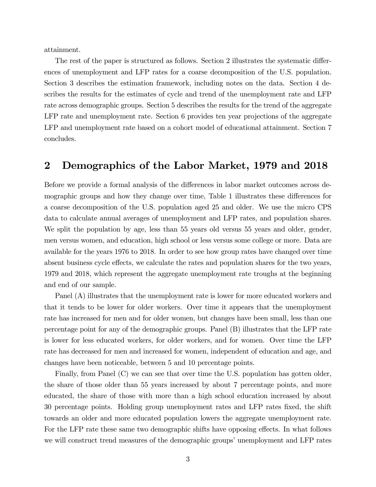attainment.

The rest of the paper is structured as follows. Section 2 illustrates the systematic differences of unemployment and LFP rates for a coarse decomposition of the U.S. population. Section 3 describes the estimation framework, including notes on the data. Section 4 describes the results for the estimates of cycle and trend of the unemployment rate and LFP rate across demographic groups. Section 5 describes the results for the trend of the aggregate LFP rate and unemployment rate. Section 6 provides ten year projections of the aggregate LFP and unemployment rate based on a cohort model of educational attainment. Section 7 concludes.

### 2 Demographics of the Labor Market, 1979 and 2018

Before we provide a formal analysis of the differences in labor market outcomes across demographic groups and how they change over time, Table 1 illustrates these differences for a coarse decomposition of the U.S. population aged 25 and older. We use the micro CPS data to calculate annual averages of unemployment and LFP rates, and population shares. We split the population by age, less than 55 years old versus 55 years and older, gender, men versus women, and education, high school or less versus some college or more. Data are available for the years 1976 to 2018. In order to see how group rates have changed over time absent business cycle effects, we calculate the rates and population shares for the two years, 1979 and 2018, which represent the aggregate unemployment rate troughs at the beginning and end of our sample.

Panel (A) illustrates that the unemployment rate is lower for more educated workers and that it tends to be lower for older workers. Over time it appears that the unemployment rate has increased for men and for older women, but changes have been small, less than one percentage point for any of the demographic groups. Panel (B) illustrates that the LFP rate is lower for less educated workers, for older workers, and for women. Over time the LFP rate has decreased for men and increased for women, independent of education and age, and changes have been noticeable, between 5 and 10 percentage points.

Finally, from Panel (C) we can see that over time the U.S. population has gotten older, the share of those older than 55 years increased by about 7 percentage points, and more educated, the share of those with more than a high school education increased by about 30 percentage points. Holding group unemployment rates and LFP rates Öxed, the shift towards an older and more educated population lowers the aggregate unemployment rate. For the LFP rate these same two demographic shifts have opposing effects. In what follows we will construct trend measures of the demographic groups' unemployment and LFP rates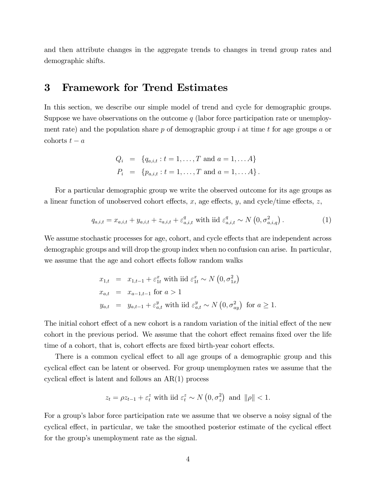and then attribute changes in the aggregate trends to changes in trend group rates and demographic shifts.

### 3 Framework for Trend Estimates

In this section, we describe our simple model of trend and cycle for demographic groups. Suppose we have observations on the outcome  $q$  (labor force participation rate or unemployment rate) and the population share p of demographic group i at time t for age groups a or cohorts  $t - a$ 

$$
Q_i = \{q_{a,i,t} : t = 1, ..., T \text{ and } a = 1, ... A\}
$$
  
\n $P_i = \{p_{a,i,t} : t = 1, ..., T \text{ and } a = 1, ... A\}.$ 

For a particular demographic group we write the observed outcome for its age groups as a linear function of unobserved cohort effects, x, age effects, y, and cycle/time effects, z,

$$
q_{a,i,t} = x_{a,i,t} + y_{a,i,t} + z_{a,i,t} + \varepsilon_{a,i,t}^q \text{ with iid } \varepsilon_{a,i,t}^q \sim N\left(0, \sigma_{a,i,q}^2\right). \tag{1}
$$

We assume stochastic processes for age, cohort, and cycle effects that are independent across demographic groups and will drop the group index when no confusion can arise. In particular, we assume that the age and cohort effects follow random walks

$$
x_{1,t} = x_{1,t-1} + \varepsilon_{1t}^x
$$
 with iid  $\varepsilon_{1t}^x \sim N(0, \sigma_{1x}^2)$   
\n
$$
x_{a,t} = x_{a-1,t-1} \text{ for } a > 1
$$
  
\n
$$
y_{a,t} = y_{a,t-1} + \varepsilon_{a,t}^y
$$
 with iid  $\varepsilon_{a,t}^y \sim N(0, \sigma_{ay}^2)$  for  $a \ge 1$ .

The initial cohort effect of a new cohort is a random variation of the initial effect of the new cohort in the previous period. We assume that the cohort effect remains fixed over the life time of a cohort, that is, cohort effects are fixed birth-year cohort effects.

There is a common cyclical effect to all age groups of a demographic group and this cyclical effect can be latent or observed. For group unemploymen rates we assume that the cyclical effect is latent and follows an  $AR(1)$  process

$$
z_t = \rho z_{t-1} + \varepsilon_t^z \text{ with iid } \varepsilon_t^z \sim N\left(0, \sigma_z^2\right) \text{ and } \|\rho\| < 1.
$$

For a group's labor force participation rate we assume that we observe a noisy signal of the cyclical effect, in particular, we take the smoothed posterior estimate of the cyclical effect for the group's unemployment rate as the signal.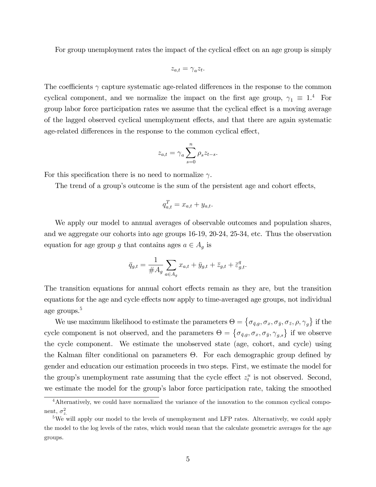For group unemployment rates the impact of the cyclical effect on an age group is simply

$$
z_{a,t}=\gamma_a z_t.
$$

The coefficients  $\gamma$  capture systematic age-related differences in the response to the common cyclical component, and we normalize the impact on the first age group,  $\gamma_1 \equiv 1.4$  For group labor force participation rates we assume that the cyclical effect is a moving average of the lagged observed cyclical unemployment effects, and that there are again systematic age-related differences in the response to the common cyclical effect,

$$
z_{a,t} = \gamma_a \sum_{s=0}^n \rho_s z_{t-s}.
$$

For this specification there is no need to normalize  $\gamma$ .

The trend of a group's outcome is the sum of the persistent age and cohort effects,

$$
q_{a,t}^T = x_{a,t} + y_{a,t}.
$$

We apply our model to annual averages of observable outcomes and population shares, and we aggregate our cohorts into age groups 16-19, 20-24, 25-34, etc. Thus the observation equation for age group g that contains ages  $a \in A_g$  is

$$
\bar{q}_{g,t} = \frac{1}{\#A_g} \sum_{a \in A_g} x_{a,t} + \bar{y}_{g,t} + \bar{z}_{g,t} + \bar{\varepsilon}_{g,t}^q.
$$

The transition equations for annual cohort effects remain as they are, but the transition equations for the age and cycle effects now apply to time-averaged age groups, not individual age groups.<sup>5</sup>

We use maximum likelihood to estimate the parameters  $\Theta = \{\sigma_{\bar{q},g}, \sigma_x, \sigma_{\bar{y}}, \sigma_{\bar{z}}, \rho, \gamma_g\}$  if the cycle component is not observed, and the parameters  $\Theta = \{\sigma_{\bar{q},g}, \sigma_x, \sigma_{\bar{y}}, \gamma_{g,s}\}\$ if we observe the cycle component. We estimate the unobserved state (age, cohort, and cycle) using the Kalman filter conditional on parameters  $\Theta$ . For each demographic group defined by gender and education our estimation proceeds in two steps. First, we estimate the model for the group's unemployment rate assuming that the cycle effect  $z_t^u$  is not observed. Second, we estimate the model for the group's labor force participation rate, taking the smoothed

<sup>&</sup>lt;sup>4</sup>Alternatively, we could have normalized the variance of the innovation to the common cyclical component,  $\sigma_z^2$ .

<sup>&</sup>lt;sup>5</sup>We will apply our model to the levels of unemployment and LFP rates. Alternatively, we could apply the model to the log levels of the rates, which would mean that the calculate geometric averages for the age groups.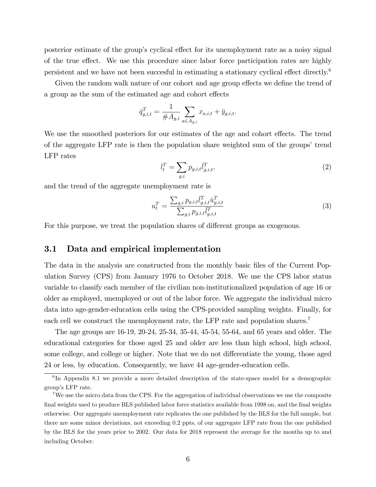posterior estimate of the group's cyclical effect for its unemployment rate as a noisy signal of the true effect. We use this procedure since labor force participation rates are highly persistent and we have not been succesful in estimating a stationary cyclical effect directly.<sup>6</sup>

Given the random walk nature of our cohort and age group effects we define the trend of a group as the sum of the estimated age and cohort effects

$$
\bar{q}_{g,i,t}^T = \frac{1}{\#A_{g,i}} \sum_{a \in A_{g,i}} x_{a,i,t} + \bar{y}_{g,i,t}.
$$

We use the smoothed posteriors for our estimates of the age and cohort effects. The trend of the aggregate LFP rate is then the population share weighted sum of the groups' trend LFP rates

$$
l_t^T = \sum_{g,i} p_{g,i,t} \overline{l}_{g,i,t}^T,\tag{2}
$$

and the trend of the aggregate unemployment rate is

$$
u_t^T = \frac{\sum_{g,i} p_{g,i,t} \bar{l}_{g,i,t}^T \bar{u}_{g,i,t}^T}{\sum_{g,i} p_{g,i,t} \bar{l}_{g,i,t}^T}
$$
(3)

For this purpose, we treat the population shares of different groups as exogenous.

#### 3.1 Data and empirical implementation

The data in the analysis are constructed from the monthly basic files of the Current Population Survey (CPS) from January 1976 to October 2018. We use the CPS labor status variable to classify each member of the civilian non-institutionalized population of age 16 or older as employed, unemployed or out of the labor force. We aggregate the individual micro data into age-gender-education cells using the CPS-provided sampling weights. Finally, for each cell we construct the unemployment rate, the LFP rate and population shares.<sup>7</sup>

The age groups are 16-19, 20-24, 25-34, 35-44, 45-54, 55-64, and 65 years and older. The educational categories for those aged 25 and older are less than high school, high school, some college, and college or higher. Note that we do not differentiate the young, those aged 24 or less, by education. Consequently, we have 44 age-gender-education cells.

<sup>&</sup>lt;sup>6</sup>In Appendix 8.1 we provide a more detailed description of the state-space model for a demographic group's LFP rate.

<sup>&</sup>lt;sup>7</sup>We use the micro data from the CPS. For the aggregation of individual observations we use the composite final weights used to produce BLS published labor force statistics available from 1998 on, and the final weights otherwise. Our aggregate unemployment rate replicates the one published by the BLS for the full sample, but there are some minor deviations, not exceeding 0.2 ppts, of our aggregate LFP rate from the one published by the BLS for the years prior to 2002. Our data for 2018 represent the average for the months up to and including October.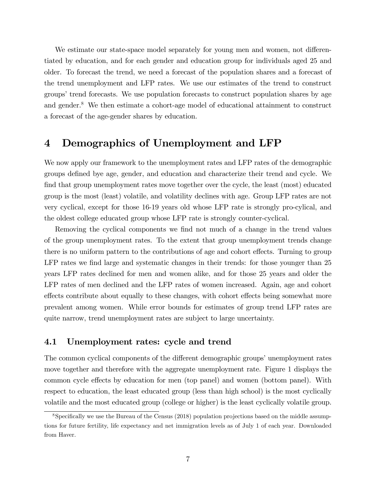We estimate our state-space model separately for young men and women, not differentiated by education, and for each gender and education group for individuals aged 25 and older. To forecast the trend, we need a forecast of the population shares and a forecast of the trend unemployment and LFP rates. We use our estimates of the trend to construct groups' trend forecasts. We use population forecasts to construct population shares by age and gender.<sup>8</sup> We then estimate a cohort-age model of educational attainment to construct a forecast of the age-gender shares by education.

### 4 Demographics of Unemployment and LFP

We now apply our framework to the unemployment rates and LFP rates of the demographic groups deÖned bye age, gender, and education and characterize their trend and cycle. We find that group unemployment rates move together over the cycle, the least (most) educated group is the most (least) volatile, and volatility declines with age. Group LFP rates are not very cyclical, except for those 16-19 years old whose LFP rate is strongly pro-cylical, and the oldest college educated group whose LFP rate is strongly counter-cyclical.

Removing the cyclical components we find not much of a change in the trend values of the group unemployment rates. To the extent that group unemployment trends change there is no uniform pattern to the contributions of age and cohort effects. Turning to group LFP rates we find large and systematic changes in their trends: for those younger than 25 years LFP rates declined for men and women alike, and for those 25 years and older the LFP rates of men declined and the LFP rates of women increased. Again, age and cohort effects contribute about equally to these changes, with cohort effects being somewhat more prevalent among women. While error bounds for estimates of group trend LFP rates are quite narrow, trend unemployment rates are subject to large uncertainty.

#### 4.1 Unemployment rates: cycle and trend

The common cyclical components of the different demographic groups' unemployment rates move together and therefore with the aggregate unemployment rate. Figure 1 displays the common cycle effects by education for men (top panel) and women (bottom panel). With respect to education, the least educated group (less than high school) is the most cyclically volatile and the most educated group (college or higher) is the least cyclically volatile group.

 $8$ Specifically we use the Bureau of the Census (2018) population projections based on the middle assumptions for future fertility, life expectancy and net immigration levels as of July 1 of each year. Downloaded from Haver.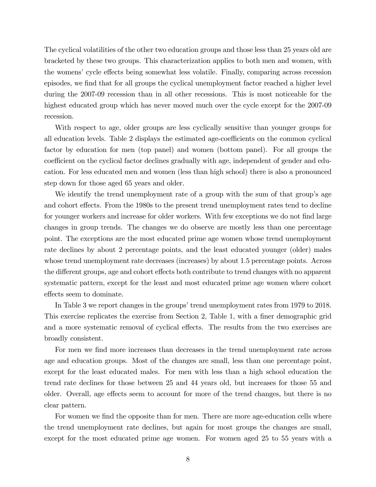The cyclical volatilities of the other two education groups and those less than 25 years old are bracketed by these two groups. This characterization applies to both men and women, with the womens' cycle effects being somewhat less volatile. Finally, comparing across recession episodes, we find that for all groups the cyclical unemployment factor reached a higher level during the 2007-09 recession than in all other recessions. This is most noticeable for the highest educated group which has never moved much over the cycle except for the 2007-09 recession.

With respect to age, older groups are less cyclically sensitive than younger groups for all education levels. Table 2 displays the estimated age-coefficients on the common cyclical factor by education for men (top panel) and women (bottom panel). For all groups the coefficient on the cyclical factor declines gradually with age, independent of gender and education. For less educated men and women (less than high school) there is also a pronounced step down for those aged 65 years and older.

We identify the trend unemployment rate of a group with the sum of that group's age and cohort effects. From the 1980s to the present trend unemployment rates tend to decline for younger workers and increase for older workers. With few exceptions we do not find large changes in group trends. The changes we do observe are mostly less than one percentage point. The exceptions are the most educated prime age women whose trend unemployment rate declines by about 2 percentage points, and the least educated younger (older) males whose trend unemployment rate decreases (increases) by about 1.5 percentage points. Across the different groups, age and cohort effects both contribute to trend changes with no apparent systematic pattern, except for the least and most educated prime age women where cohort effects seem to dominate.

In Table 3 we report changes in the groups' trend unemployment rates from 1979 to 2018. This exercise replicates the exercise from Section 2, Table 1, with a finer demographic grid and a more systematic removal of cyclical effects. The results from the two exercises are broadly consistent.

For men we find more increases than decreases in the trend unemployment rate across age and education groups. Most of the changes are small, less than one percentage point, except for the least educated males. For men with less than a high school education the trend rate declines for those between 25 and 44 years old, but increases for those 55 and older. Overall, age effects seem to account for more of the trend changes, but there is no clear pattern.

For women we find the opposite than for men. There are more age-education cells where the trend unemployment rate declines, but again for most groups the changes are small, except for the most educated prime age women. For women aged 25 to 55 years with a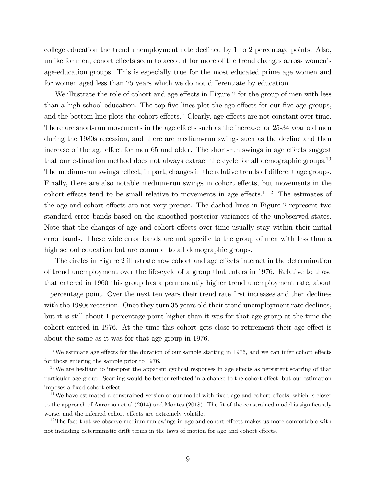college education the trend unemployment rate declined by 1 to 2 percentage points. Also, unlike for men, cohort effects seem to account for more of the trend changes across women's age-education groups. This is especially true for the most educated prime age women and for women aged less than 25 years which we do not differentiate by education.

We illustrate the role of cohort and age effects in Figure 2 for the group of men with less than a high school education. The top five lines plot the age effects for our five age groups, and the bottom line plots the cohort effects.<sup>9</sup> Clearly, age effects are not constant over time. There are short-run movements in the age effects such as the increase for 25-34 year old men during the 1980s recession, and there are medium-run swings such as the decline and then increase of the age effect for men 65 and older. The short-run swings in age effects suggest that our estimation method does not always extract the cycle for all demographic groups.<sup>10</sup> The medium-run swings reflect, in part, changes in the relative trends of different age groups. Finally, there are also notable medium-run swings in cohort effects, but movements in the cohort effects tend to be small relative to movements in age effects.<sup>1112</sup> The estimates of the age and cohort effects are not very precise. The dashed lines in Figure 2 represent two standard error bands based on the smoothed posterior variances of the unobserved states. Note that the changes of age and cohort effects over time usually stay within their initial error bands. These wide error bands are not specific to the group of men with less than a high school education but are common to all demographic groups.

The circles in Figure 2 illustrate how cohort and age effects interact in the determination of trend unemployment over the life-cycle of a group that enters in 1976. Relative to those that entered in 1960 this group has a permanently higher trend unemployment rate, about 1 percentage point. Over the next ten years their trend rate Örst increases and then declines with the 1980s recession. Once they turn 35 years old their trend unemployment rate declines, but it is still about 1 percentage point higher than it was for that age group at the time the cohort entered in 1976. At the time this cohort gets close to retirement their age effect is about the same as it was for that age group in 1976.

 $12$ The fact that we observe medium-run swings in age and cohort effects makes us more comfortable with not including deterministic drift terms in the laws of motion for age and cohort effects.

 $9$ We estimate age effects for the duration of our sample starting in 1976, and we can infer cohort effects for those entering the sample prior to 1976.

 $10$ We are hesitant to interpret the apparent cyclical responses in age effects as persistent scarring of that particular age group. Scarring would be better reflected in a change to the cohort effect, but our estimation imposes a fixed cohort effect.

 $11$ We have estimated a constrained version of our model with fixed age and cohort effects, which is closer to the approach of Aaronson et al  $(2014)$  and Montes  $(2018)$ . The fit of the constrained model is significantly worse, and the inferred cohort effects are extremely volatile.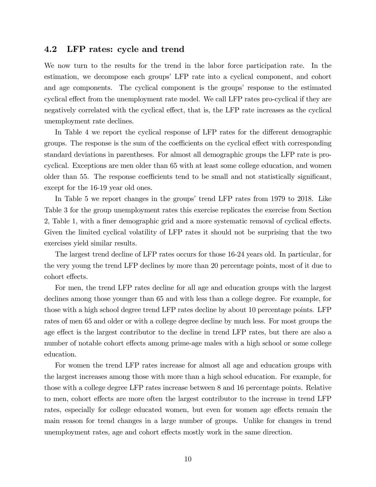#### 4.2 LFP rates: cycle and trend

We now turn to the results for the trend in the labor force participation rate. In the estimation, we decompose each groups' LFP rate into a cyclical component, and cohort and age components. The cyclical component is the groups' response to the estimated cyclical effect from the unemployment rate model. We call LFP rates pro-cyclical if they are negatively correlated with the cyclical effect, that is, the LFP rate increases as the cyclical unemployment rate declines.

In Table 4 we report the cyclical response of LFP rates for the different demographic groups. The response is the sum of the coefficients on the cyclical effect with corresponding standard deviations in parentheses. For almost all demographic groups the LFP rate is procyclical. Exceptions are men older than 65 with at least some college education, and women older than 55. The response coefficients tend to be small and not statistically significant, except for the 16-19 year old ones.

In Table 5 we report changes in the groups' trend LFP rates from 1979 to 2018. Like Table 3 for the group unemployment rates this exercise replicates the exercise from Section 2, Table 1, with a finer demographic grid and a more systematic removal of cyclical effects. Given the limited cyclical volatility of LFP rates it should not be surprising that the two exercises yield similar results.

The largest trend decline of LFP rates occurs for those 16-24 years old. In particular, for the very young the trend LFP declines by more than 20 percentage points, most of it due to cohort effects.

For men, the trend LFP rates decline for all age and education groups with the largest declines among those younger than 65 and with less than a college degree. For example, for those with a high school degree trend LFP rates decline by about 10 percentage points. LFP rates of men 65 and older or with a college degree decline by much less. For most groups the age effect is the largest contributor to the decline in trend LFP rates, but there are also a number of notable cohort effects among prime-age males with a high school or some college education.

For women the trend LFP rates increase for almost all age and education groups with the largest increases among those with more than a high school education. For example, for those with a college degree LFP rates increase between 8 and 16 percentage points. Relative to men, cohort effects are more often the largest contributor to the increase in trend LFP rates, especially for college educated women, but even for women age effects remain the main reason for trend changes in a large number of groups. Unlike for changes in trend unemployment rates, age and cohort effects mostly work in the same direction.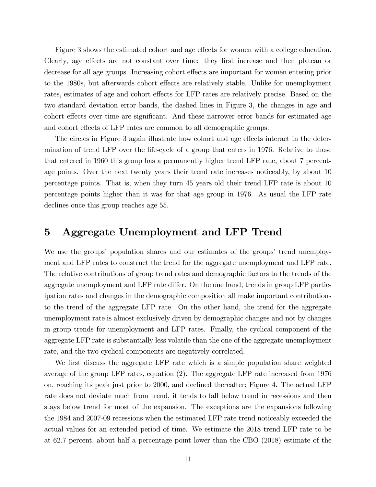Figure 3 shows the estimated cohort and age effects for women with a college education. Clearly, age effects are not constant over time: they first increase and then plateau or decrease for all age groups. Increasing cohort effects are important for women entering prior to the 1980s, but afterwards cohort effects are relatively stable. Unlike for unemployment rates, estimates of age and cohort effects for LFP rates are relatively precise. Based on the two standard deviation error bands, the dashed lines in Figure 3, the changes in age and cohort effects over time are significant. And these narrower error bands for estimated age and cohort effects of LFP rates are common to all demographic groups.

The circles in Figure 3 again illustrate how cohort and age effects interact in the determination of trend LFP over the life-cycle of a group that enters in 1976. Relative to those that entered in 1960 this group has a permanently higher trend LFP rate, about 7 percentage points. Over the next twenty years their trend rate increases noticeably, by about 10 percentage points. That is, when they turn 45 years old their trend LFP rate is about 10 percentage points higher than it was for that age group in 1976. As usual the LFP rate declines once this group reaches age 55.

### 5 Aggregate Unemployment and LFP Trend

We use the groups' population shares and our estimates of the groups' trend unemployment and LFP rates to construct the trend for the aggregate unemployment and LFP rate. The relative contributions of group trend rates and demographic factors to the trends of the aggregate unemployment and LFP rate differ. On the one hand, trends in group LFP participation rates and changes in the demographic composition all make important contributions to the trend of the aggregate LFP rate. On the other hand, the trend for the aggregate unemployment rate is almost exclusively driven by demographic changes and not by changes in group trends for unemployment and LFP rates. Finally, the cyclical component of the aggregate LFP rate is substantially less volatile than the one of the aggregate unemployment rate, and the two cyclical components are negatively correlated.

We first discuss the aggregate LFP rate which is a simple population share weighted average of the group LFP rates, equation (2). The aggregate LFP rate increased from 1976 on, reaching its peak just prior to 2000, and declined thereafter; Figure 4. The actual LFP rate does not deviate much from trend, it tends to fall below trend in recessions and then stays below trend for most of the expansion. The exceptions are the expansions following the 1984 and 2007-09 recessions when the estimated LFP rate trend noticeably exceeded the actual values for an extended period of time. We estimate the 2018 trend LFP rate to be at 62.7 percent, about half a percentage point lower than the CBO (2018) estimate of the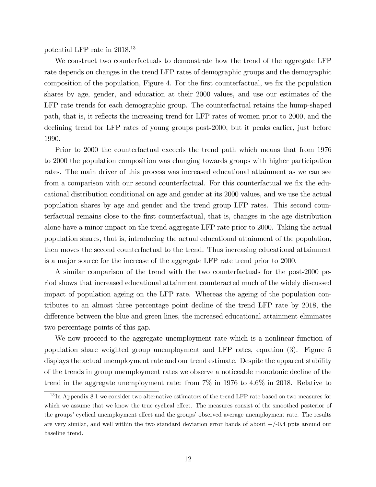potential LFP rate in 2018.<sup>13</sup>

We construct two counterfactuals to demonstrate how the trend of the aggregate LFP rate depends on changes in the trend LFP rates of demographic groups and the demographic composition of the population, Figure 4. For the Örst counterfactual, we Öx the population shares by age, gender, and education at their 2000 values, and use our estimates of the LFP rate trends for each demographic group. The counterfactual retains the hump-shaped path, that is, it reflects the increasing trend for LFP rates of women prior to 2000, and the declining trend for LFP rates of young groups post-2000, but it peaks earlier, just before 1990.

Prior to 2000 the counterfactual exceeds the trend path which means that from 1976 to 2000 the population composition was changing towards groups with higher participation rates. The main driver of this process was increased educational attainment as we can see from a comparison with our second counterfactual. For this counterfactual we fix the educational distribution conditional on age and gender at its 2000 values, and we use the actual population shares by age and gender and the trend group LFP rates. This second counterfactual remains close to the Örst counterfactual, that is, changes in the age distribution alone have a minor impact on the trend aggregate LFP rate prior to 2000. Taking the actual population shares, that is, introducing the actual educational attainment of the population, then moves the second counterfactual to the trend. Thus increasing educational attainment is a major source for the increase of the aggregate LFP rate trend prior to 2000.

A similar comparison of the trend with the two counterfactuals for the post-2000 period shows that increased educational attainment counteracted much of the widely discussed impact of population ageing on the LFP rate. Whereas the ageing of the population contributes to an almost three percentage point decline of the trend LFP rate by 2018, the difference between the blue and green lines, the increased educational attainment eliminates two percentage points of this gap.

We now proceed to the aggregate unemployment rate which is a nonlinear function of population share weighted group unemployment and LFP rates, equation (3). Figure 5 displays the actual unemployment rate and our trend estimate. Despite the apparent stability of the trends in group unemployment rates we observe a noticeable monotonic decline of the trend in the aggregate unemployment rate: from 7% in 1976 to 4.6% in 2018. Relative to

<sup>&</sup>lt;sup>13</sup>In Appendix 8.1 we consider two alternative estimators of the trend LFP rate based on two measures for which we assume that we know the true cyclical effect. The measures consist of the smoothed posterior of the groups' cyclical unemployment effect and the groups' observed average unemployment rate. The results are very similar, and well within the two standard deviation error bands of about  $+/-0.4$  ppts around our baseline trend.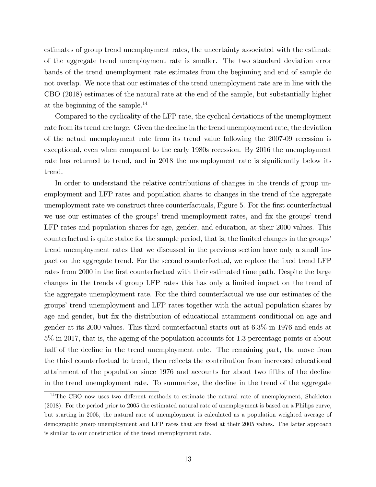estimates of group trend unemployment rates, the uncertainty associated with the estimate of the aggregate trend unemployment rate is smaller. The two standard deviation error bands of the trend unemployment rate estimates from the beginning and end of sample do not overlap. We note that our estimates of the trend unemployment rate are in line with the CBO (2018) estimates of the natural rate at the end of the sample, but substantially higher at the beginning of the sample.<sup>14</sup>

Compared to the cyclicality of the LFP rate, the cyclical deviations of the unemployment rate from its trend are large. Given the decline in the trend unemployment rate, the deviation of the actual unemployment rate from its trend value following the 2007-09 recession is exceptional, even when compared to the early 1980s recession. By 2016 the unemployment rate has returned to trend, and in 2018 the unemployment rate is significantly below its trend.

In order to understand the relative contributions of changes in the trends of group unemployment and LFP rates and population shares to changes in the trend of the aggregate unemployment rate we construct three counterfactuals, Figure 5. For the first counterfactual we use our estimates of the groups' trend unemployment rates, and fix the groups' trend LFP rates and population shares for age, gender, and education, at their 2000 values. This counterfactual is quite stable for the sample period, that is, the limited changes in the groups' trend unemployment rates that we discussed in the previous section have only a small impact on the aggregate trend. For the second counterfactual, we replace the fixed trend LFP rates from 2000 in the first counterfactual with their estimated time path. Despite the large changes in the trends of group LFP rates this has only a limited impact on the trend of the aggregate unemployment rate. For the third counterfactual we use our estimates of the groups' trend unemployment and LFP rates together with the actual population shares by age and gender, but fix the distribution of educational attainment conditional on age and gender at its 2000 values. This third counterfactual starts out at 6.3% in 1976 and ends at 5% in 2017, that is, the ageing of the population accounts for 1.3 percentage points or about half of the decline in the trend unemployment rate. The remaining part, the move from the third counterfactual to trend, then reflects the contribution from increased educational attainment of the population since 1976 and accounts for about two fifths of the decline in the trend unemployment rate. To summarize, the decline in the trend of the aggregate

 $14$ The CBO now uses two different methods to estimate the natural rate of unemployment, Shakleton (2018). For the period prior to 2005 the estimated natural rate of unemployment is based on a Philips curve, but starting in 2005, the natural rate of unemployment is calculated as a population weighted average of demographic group unemployment and LFP rates that are fixed at their 2005 values. The latter approach is similar to our construction of the trend unemployment rate.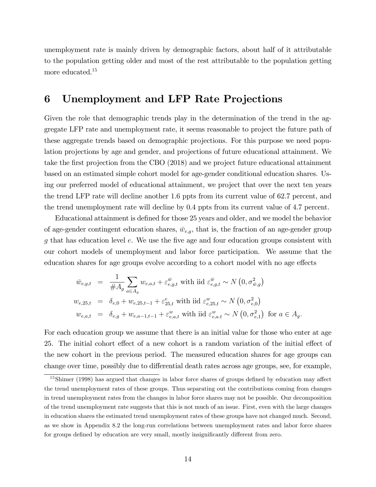unemployment rate is mainly driven by demographic factors, about half of it attributable to the population getting older and most of the rest attributable to the population getting more educated.<sup>15</sup>

### 6 Unemployment and LFP Rate Projections

Given the role that demographic trends play in the determination of the trend in the aggregate LFP rate and unemployment rate, it seems reasonable to project the future path of these aggregate trends based on demographic projections. For this purpose we need population projections by age and gender, and projections of future educational attainment. We take the first projection from the CBO (2018) and we project future educational attainment based on an estimated simple cohort model for age-gender conditional education shares. Using our preferred model of educational attainment, we project that over the next ten years the trend LFP rate will decline another 1.6 ppts from its current value of 62.7 percent, and the trend unemployment rate will decline by 0.4 ppts from its current value of 4.7 percent.

Educational attainment is defined for those 25 years and older, and we model the behavior of age-gender contingent education shares,  $\bar{w}_{e,g}$ , that is, the fraction of an age-gender group  $q$  that has education level  $e$ . We use the five age and four education groups consistent with our cohort models of unemployment and labor force participation. We assume that the education shares for age groups evolve according to a cohort model with no age effects

$$
\bar{w}_{e,g,t} = \frac{1}{\#A_g} \sum_{a \in A_g} w_{e,a,t} + \varepsilon_{e,g,t}^{\bar{w}} \text{ with iid } \varepsilon_{e,g,t}^{\bar{w}} \sim N(0, \sigma_{\bar{w},g}^2)
$$
\n
$$
w_{e,25,t} = \delta_{e,0} + w_{e,25,t-1} + \varepsilon_{25,t}^e \text{ with iid } \varepsilon_{e,25,t}^w \sim N(0, \sigma_{e,0}^2)
$$
\n
$$
w_{e,a,t} = \delta_{e,g} + w_{e,a-1,t-1} + \varepsilon_{e,a,t}^w \text{ with iid } \varepsilon_{e,a,t}^w \sim N(0, \sigma_{e,1}^2) \text{ for } a \in A_g.
$$

For each education group we assume that there is an initial value for those who enter at age 25. The initial cohort effect of a new cohort is a random variation of the initial effect of the new cohort in the previous period. The measured education shares for age groups can change over time, possibly due to differential death rates across age groups, see, for example,

 $15$ Shimer (1998) has argued that changes in labor force shares of groups defined by education may affect the trend unemployment rates of these groups. Thus separating out the contributions coming from changes in trend unemployment rates from the changes in labor force shares may not be possible. Our decomposition of the trend unemployment rate suggests that this is not much of an issue. First, even with the large changes in education shares the estimated trend unemployment rates of these groups have not changed much. Second, as we show in Appendix 8.2 the long-run correlations between unemployment rates and labor force shares for groups defined by education are very small, mostly insignificantly different from zero.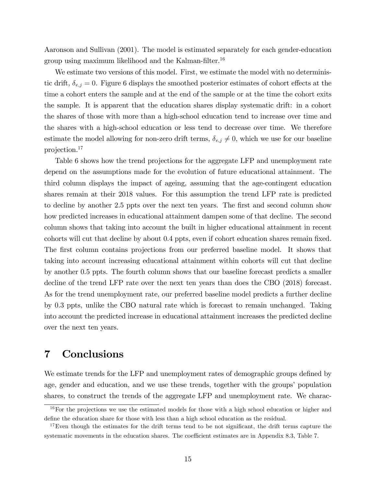Aaronson and Sullivan (2001). The model is estimated separately for each gender-education group using maximum likelihood and the Kalman-filter.<sup>16</sup>

We estimate two versions of this model. First, we estimate the model with no deterministic drift,  $\delta_{e,j} = 0$ . Figure 6 displays the smoothed posterior estimates of cohort effects at the time a cohort enters the sample and at the end of the sample or at the time the cohort exits the sample. It is apparent that the education shares display systematic drift: in a cohort the shares of those with more than a high-school education tend to increase over time and the shares with a high-school education or less tend to decrease over time. We therefore estimate the model allowing for non-zero drift terms,  $\delta_{e,j} \neq 0$ , which we use for our baseline projection.<sup>17</sup>

Table 6 shows how the trend projections for the aggregate LFP and unemployment rate depend on the assumptions made for the evolution of future educational attainment. The third column displays the impact of ageing, assuming that the age-contingent education shares remain at their 2018 values. For this assumption the trend LFP rate is predicted to decline by another 2.5 ppts over the next ten years. The first and second column show how predicted increases in educational attainment dampen some of that decline. The second column shows that taking into account the built in higher educational attainment in recent cohorts will cut that decline by about 0.4 ppts, even if cohort education shares remain fixed. The first column contains projections from our preferred baseline model. It shows that taking into account increasing educational attainment within cohorts will cut that decline by another 0.5 ppts. The fourth column shows that our baseline forecast predicts a smaller decline of the trend LFP rate over the next ten years than does the CBO (2018) forecast. As for the trend unemployment rate, our preferred baseline model predicts a further decline by 0.3 ppts, unlike the CBO natural rate which is forecast to remain unchanged. Taking into account the predicted increase in educational attainment increases the predicted decline over the next ten years.

## 7 Conclusions

We estimate trends for the LFP and unemployment rates of demographic groups defined by age, gender and education, and we use these trends, together with the groups' population shares, to construct the trends of the aggregate LFP and unemployment rate. We charac-

<sup>&</sup>lt;sup>16</sup>For the projections we use the estimated models for those with a high school education or higher and define the education share for those with less than a high school education as the residual.

 $17$ Even though the estimates for the drift terms tend to be not significant, the drift terms capture the systematic movements in the education shares. The coefficient estimates are in Appendix 8.3, Table 7.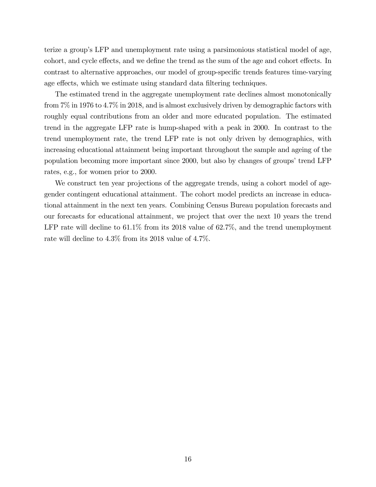terize a groupís LFP and unemployment rate using a parsimonious statistical model of age, cohort, and cycle effects, and we define the trend as the sum of the age and cohort effects. In contrast to alternative approaches, our model of group-specific trends features time-varying age effects, which we estimate using standard data filtering techniques.

The estimated trend in the aggregate unemployment rate declines almost monotonically from 7% in 1976 to 4.7% in 2018, and is almost exclusively driven by demographic factors with roughly equal contributions from an older and more educated population. The estimated trend in the aggregate LFP rate is hump-shaped with a peak in 2000. In contrast to the trend unemployment rate, the trend LFP rate is not only driven by demographics, with increasing educational attainment being important throughout the sample and ageing of the population becoming more important since 2000, but also by changes of groups' trend LFP rates, e.g., for women prior to 2000.

We construct ten year projections of the aggregate trends, using a cohort model of agegender contingent educational attainment. The cohort model predicts an increase in educational attainment in the next ten years. Combining Census Bureau population forecasts and our forecasts for educational attainment, we project that over the next 10 years the trend LFP rate will decline to  $61.1\%$  from its 2018 value of  $62.7\%$ , and the trend unemployment rate will decline to 4.3% from its 2018 value of 4.7%.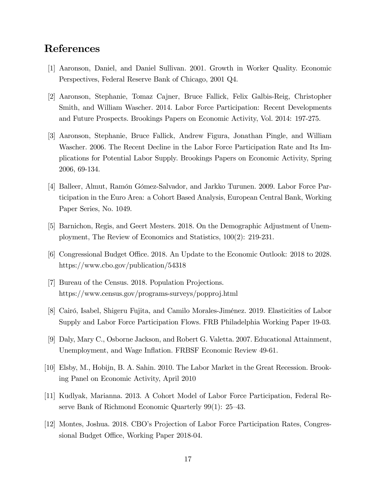### References

- [1] Aaronson, Daniel, and Daniel Sullivan. 2001. Growth in Worker Quality. Economic Perspectives, Federal Reserve Bank of Chicago, 2001 Q4.
- [2] Aaronson, Stephanie, Tomaz Cajner, Bruce Fallick, Felix Galbis-Reig, Christopher Smith, and William Wascher. 2014. Labor Force Participation: Recent Developments and Future Prospects. Brookings Papers on Economic Activity, Vol. 2014: 197-275.
- [3] Aaronson, Stephanie, Bruce Fallick, Andrew Figura, Jonathan Pingle, and William Wascher. 2006. The Recent Decline in the Labor Force Participation Rate and Its Implications for Potential Labor Supply. Brookings Papers on Economic Activity, Spring 2006, 69-134.
- [4] Balleer, Almut, Ramón Gómez-Salvador, and Jarkko Turunen. 2009. Labor Force Participation in the Euro Area: a Cohort Based Analysis, European Central Bank, Working Paper Series, No. 1049.
- [5] Barnichon, Regis, and Geert Mesters. 2018. On the Demographic Adjustment of Unemployment, The Review of Economics and Statistics, 100(2): 219-231.
- [6] Congressional Budget Office. 2018. An Update to the Economic Outlook: 2018 to 2028. https://www.cbo.gov/publication/54318
- [7] Bureau of the Census. 2018. Population Projections. https://www.census.gov/programs-surveys/popproj.html
- [8] Cairó, Isabel, Shigeru Fujita, and Camilo Morales-Jiménez. 2019. Elasticities of Labor Supply and Labor Force Participation Flows. FRB Philadelphia Working Paper 19-03.
- [9] Daly, Mary C., Osborne Jackson, and Robert G. Valetta. 2007. Educational Attainment, Unemployment, and Wage Inflation. FRBSF Economic Review 49-61.
- [10] Elsby, M., Hobijn, B. A. Sahin. 2010. The Labor Market in the Great Recession. Brooking Panel on Economic Activity, April 2010
- [11] Kudlyak, Marianna. 2013. A Cohort Model of Labor Force Participation, Federal Reserve Bank of Richmond Economic Quarterly  $99(1)$ : 25–43.
- [12] Montes, Joshua. 2018. CBOís Projection of Labor Force Participation Rates, Congressional Budget Office, Working Paper 2018-04.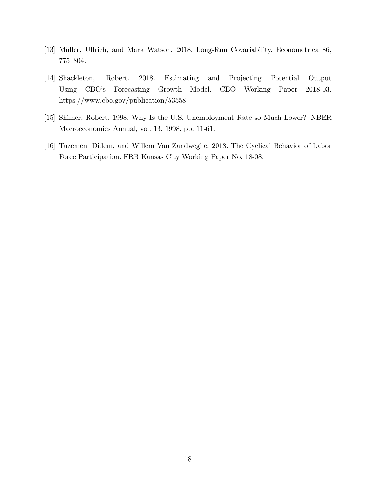- [13] Müller, Ullrich, and Mark Watson. 2018. Long-Run Covariability. Econometrica 86, 775-804.
- [14] Shackleton, Robert. 2018. Estimating and Projecting Potential Output Using CBO's Forecasting Growth Model. CBO Working Paper 2018-03. https://www.cbo.gov/publication/53558
- [15] Shimer, Robert. 1998. Why Is the U.S. Unemployment Rate so Much Lower? NBER Macroeconomics Annual, vol. 13, 1998, pp. 11-61.
- [16] Tuzemen, Didem, and Willem Van Zandweghe. 2018. The Cyclical Behavior of Labor Force Participation. FRB Kansas City Working Paper No. 18-08.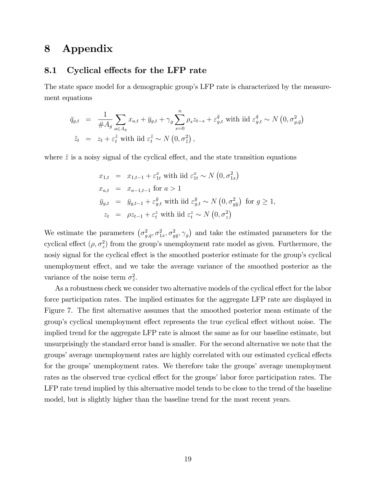### 8 Appendix

#### 8.1 Cyclical effects for the LFP rate

The state space model for a demographic group's LFP rate is characterized by the measurement equations

$$
\overline{q}_{g,t} = \frac{1}{\#A_g} \sum_{a \in A_g} x_{a,t} + \overline{y}_{g,t} + \gamma_g \sum_{s=0}^n \rho_s z_{t-s} + \varepsilon_{g,t}^{\overline{q}} \text{ with iid } \varepsilon_{g,t}^{\overline{q}} \sim N(0, \sigma_{g,\overline{q}}^2)
$$
  

$$
\widetilde{z}_t = z_t + \varepsilon_t^{\widetilde{z}} \text{ with iid } \varepsilon_t^{\widetilde{z}} \sim N(0, \sigma_{\widetilde{z}}^2),
$$

where  $\tilde{z}$  is a noisy signal of the cyclical effect, and the state transition equations

$$
x_{1,t} = x_{1,t-1} + \varepsilon_{1t}^x \text{ with } \text{iid } \varepsilon_{1t}^x \sim N(0, \sigma_{1x}^2)
$$
  
\n
$$
x_{a,t} = x_{a-1,t-1} \text{ for } a > 1
$$
  
\n
$$
\bar{y}_{g,t} = \bar{y}_{g,t-1} + \varepsilon_{g,t}^{\bar{y}} \text{ with } \text{iid } \varepsilon_{g,t}^{\bar{y}} \sim N(0, \sigma_{g\bar{y}}^2) \text{ for } g \ge 1,
$$
  
\n
$$
z_t = \rho z_{t-1} + \varepsilon_t^z \text{ with } \text{iid } \varepsilon_t^z \sim N(0, \sigma_z^2)
$$

We estimate the parameters  $(\sigma_{g,\bar{q}}^2, \sigma_{1x}^2, \sigma_{g\bar{y}}^2, \gamma_g)$  and take the estimated parameters for the cyclical effect  $(\rho, \sigma_z^2)$  from the group's unemployment rate model as given. Furthermore, the nosiy signal for the cyclical effect is the smoothed posterior estimate for the group's cyclical unemployment effect, and we take the average variance of the smoothed posterior as the variance of the noise term  $\sigma_{\tilde{z}}^2$ .

As a robustness check we consider two alternative models of the cyclical effect for the labor force participation rates. The implied estimates for the aggregate LFP rate are displayed in Figure 7. The first alternative assumes that the smoothed posterior mean estimate of the group's cyclical unemployment effect represents the true cyclical effect without noise. The implied trend for the aggregate LFP rate is almost the same as for our baseline estimate, but unsurprisingly the standard error band is smaller. For the second alternative we note that the groups' average unemployment rates are highly correlated with our estimated cyclical effects for the groups' unemployment rates. We therefore take the groups' average unemployment rates as the observed true cyclical effect for the groups' labor force participation rates. The LFP rate trend implied by this alternative model tends to be close to the trend of the baseline model, but is slightly higher than the baseline trend for the most recent years.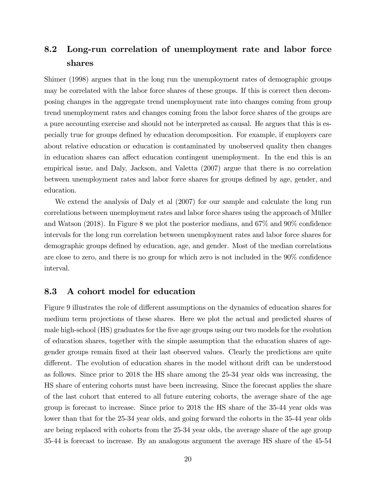## 8.2 Long-run correlation of unemployment rate and labor force shares

Shimer (1998) argues that in the long run the unemployment rates of demographic groups may be correlated with the labor force shares of these groups. If this is correct then decomposing changes in the aggregate trend unemployment rate into changes coming from group trend unemployment rates and changes coming from the labor force shares of the groups are a pure accounting exercise and should not be interpreted as causal. He argues that this is especially true for groups deÖned by education decomposition. For example, if employers care about relative education or education is contaminated by unobserved quality then changes in education shares can affect education contingent unemployment. In the end this is an empirical issue, and Daly, Jackson, and Valetta (2007) argue that there is no correlation between unemployment rates and labor force shares for groups defined by age, gender, and education.

We extend the analysis of Daly et al (2007) for our sample and calculate the long run correlations between unemployment rates and labor force shares using the approach of Müller and Watson (2018). In Figure 8 we plot the posterior medians, and  $67\%$  and  $90\%$  confidence intervals for the long run correlation between unemployment rates and labor force shares for demographic groups defined by education, age, and gender. Most of the median correlations are close to zero, and there is no group for which zero is not included in the  $90\%$  confidence interval.

#### 8.3 A cohort model for education

Figure 9 illustrates the role of different assumptions on the dynamics of education shares for medium term projections of these shares. Here we plot the actual and predicted shares of male high-school (HS) graduates for the Öve age groups using our two models for the evolution of education shares, together with the simple assumption that the education shares of agegender groups remain Öxed at their last observed values. Clearly the predictions are quite different. The evolution of education shares in the model without drift can be understood as follows. Since prior to 2018 the HS share among the 25-34 year olds was increasing, the HS share of entering cohorts must have been increasing. Since the forecast applies the share of the last cohort that entered to all future entering cohorts, the average share of the age group is forecast to increase. Since prior to 2018 the HS share of the 35-44 year olds was lower than that for the 25-34 year olds, and going forward the cohorts in the 35-44 year olds are being replaced with cohorts from the 25-34 year olds, the average share of the age group 35-44 is forecast to increase. By an analogous argument the average HS share of the 45-54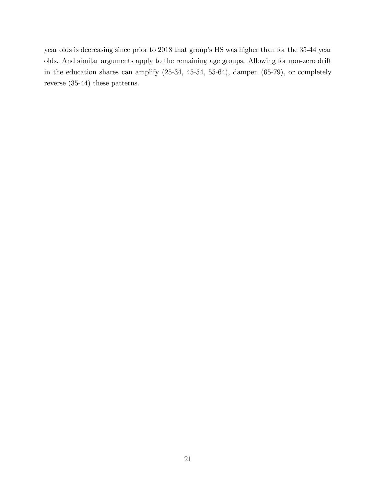year olds is decreasing since prior to 2018 that group's HS was higher than for the 35-44 year olds. And similar arguments apply to the remaining age groups. Allowing for non-zero drift in the education shares can amplify (25-34, 45-54, 55-64), dampen (65-79), or completely reverse (35-44) these patterns.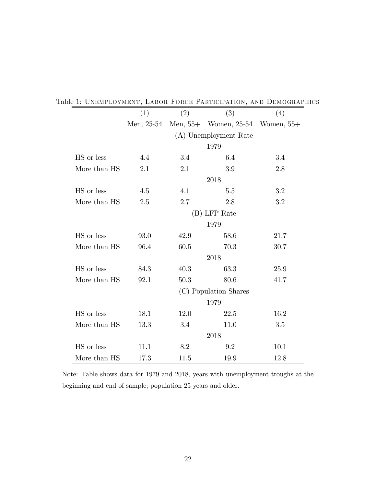| (1)<br>(2)<br>(3)<br>(4)<br>Men, 25-54<br>Women, 25-54<br>Men, $55+$<br>(A) Unemployment Rate<br>1979<br>4.4<br>3.4<br>3.4<br>6.4<br>2.1<br>3.9<br>2.8<br>2.1<br>2018<br>4.1<br>3.2<br>4.5<br>5.5<br>2.7<br>3.2<br>2.5<br>2.8<br>(B) LFP Rate<br>1979<br>93.0<br>42.9<br>58.6<br>21.7<br>96.4<br>60.5<br>70.3<br>30.7<br>2018<br>84.3<br>40.3<br>63.3<br>25.9<br>50.3<br>80.6<br>92.1<br>41.7<br>(C) Population Shares<br>1979<br>16.2<br>18.1<br>12.0<br>22.5<br>11.0<br>13.3<br>3.4<br>3.5<br>2018<br>10.1<br>11.1<br>8.2<br>9.2<br>17.3<br>11.5<br>19.9<br>12.8 |              |  |  |  |              |  |
|--------------------------------------------------------------------------------------------------------------------------------------------------------------------------------------------------------------------------------------------------------------------------------------------------------------------------------------------------------------------------------------------------------------------------------------------------------------------------------------------------------------------------------------------------------------------|--------------|--|--|--|--------------|--|
|                                                                                                                                                                                                                                                                                                                                                                                                                                                                                                                                                                    |              |  |  |  |              |  |
|                                                                                                                                                                                                                                                                                                                                                                                                                                                                                                                                                                    |              |  |  |  | Women, $55+$ |  |
|                                                                                                                                                                                                                                                                                                                                                                                                                                                                                                                                                                    |              |  |  |  |              |  |
|                                                                                                                                                                                                                                                                                                                                                                                                                                                                                                                                                                    |              |  |  |  |              |  |
|                                                                                                                                                                                                                                                                                                                                                                                                                                                                                                                                                                    | HS or less   |  |  |  |              |  |
|                                                                                                                                                                                                                                                                                                                                                                                                                                                                                                                                                                    | More than HS |  |  |  |              |  |
|                                                                                                                                                                                                                                                                                                                                                                                                                                                                                                                                                                    |              |  |  |  |              |  |
|                                                                                                                                                                                                                                                                                                                                                                                                                                                                                                                                                                    | HS or less   |  |  |  |              |  |
|                                                                                                                                                                                                                                                                                                                                                                                                                                                                                                                                                                    | More than HS |  |  |  |              |  |
|                                                                                                                                                                                                                                                                                                                                                                                                                                                                                                                                                                    |              |  |  |  |              |  |
|                                                                                                                                                                                                                                                                                                                                                                                                                                                                                                                                                                    |              |  |  |  |              |  |
|                                                                                                                                                                                                                                                                                                                                                                                                                                                                                                                                                                    | HS or less   |  |  |  |              |  |
|                                                                                                                                                                                                                                                                                                                                                                                                                                                                                                                                                                    | More than HS |  |  |  |              |  |
|                                                                                                                                                                                                                                                                                                                                                                                                                                                                                                                                                                    |              |  |  |  |              |  |
|                                                                                                                                                                                                                                                                                                                                                                                                                                                                                                                                                                    | HS or less   |  |  |  |              |  |
|                                                                                                                                                                                                                                                                                                                                                                                                                                                                                                                                                                    | More than HS |  |  |  |              |  |
|                                                                                                                                                                                                                                                                                                                                                                                                                                                                                                                                                                    |              |  |  |  |              |  |
|                                                                                                                                                                                                                                                                                                                                                                                                                                                                                                                                                                    |              |  |  |  |              |  |
|                                                                                                                                                                                                                                                                                                                                                                                                                                                                                                                                                                    | HS or less   |  |  |  |              |  |
|                                                                                                                                                                                                                                                                                                                                                                                                                                                                                                                                                                    | More than HS |  |  |  |              |  |
|                                                                                                                                                                                                                                                                                                                                                                                                                                                                                                                                                                    |              |  |  |  |              |  |
|                                                                                                                                                                                                                                                                                                                                                                                                                                                                                                                                                                    | HS or less   |  |  |  |              |  |
|                                                                                                                                                                                                                                                                                                                                                                                                                                                                                                                                                                    | More than HS |  |  |  |              |  |

Table 1: Unemployment, Labor Force Participation, and Demographics

Note: Table shows data for 1979 and 2018, years with unemployment troughs at the beginning and end of sample; population 25 years and older.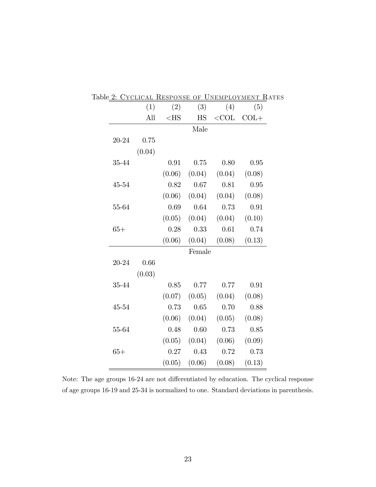|       | (1)    | (2)    | (3)                        | (4)     | (5)    |
|-------|--------|--------|----------------------------|---------|--------|
|       | All    | $<$ HS | $\mathop{\rm HS}\nolimits$ | $<$ COL | $COL+$ |
|       |        |        | Male                       |         |        |
| 20-24 | 0.75   |        |                            |         |        |
|       | (0.04) |        |                            |         |        |
| 35-44 |        | 0.91   | 0.75                       | 0.80    | 0.95   |
|       |        | (0.06) | (0.04)                     | (0.04)  | (0.08) |
| 45-54 |        | 0.82   | 0.67                       | 0.81    | 0.95   |
|       |        | (0.06) | (0.04)                     | (0.04)  | (0.08) |
| 55-64 |        | 0.69   | 0.64                       | 0.73    | 0.91   |
|       |        | (0.05) | (0.04)                     | (0.04)  | (0.10) |
| $65+$ |        | 0.28   | 0.33                       | 0.61    | 0.74   |
|       |        | (0.06) | (0.04)                     | (0.08)  | (0.13) |
|       |        |        | Female                     |         |        |
| 20-24 | 0.66   |        |                            |         |        |
|       | (0.03) |        |                            |         |        |
| 35-44 |        | 0.85   | 0.77                       | 0.77    | 0.91   |
|       |        | (0.07) | (0.05)                     | (0.04)  | (0.08) |
| 45-54 |        | 0.73   | 0.65                       | 0.70    | 0.88   |
|       |        | (0.06) | (0.04)                     | (0.05)  | (0.08) |
| 55-64 |        | 0.48   | 0.60                       | 0.73    | 0.85   |
|       |        | (0.05) | (0.04)                     | (0.06)  | (0.09) |
| $65+$ |        | 0.27   | 0.43                       | 0.72    | 0.73   |
|       |        | (0.05) | (0.06)                     | (0.08)  | (0.13) |

Table 2: Cyclical Response of Unemployment Rates

Note: The age groups 16-24 are not differentiated by education. The cyclical response of age groups 16-19 and 25-34 is normalized to one. Standard deviations in parenthesis.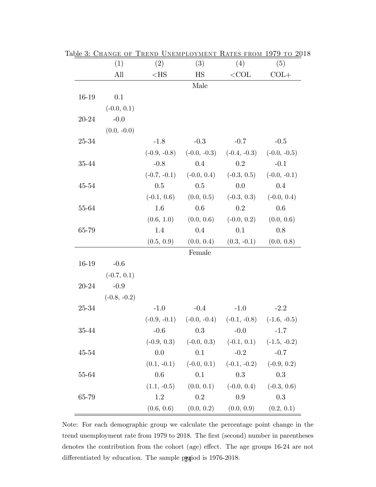|           | (1)            | (2)            | (3)                                                         | (4)            | (5)                           |
|-----------|----------------|----------------|-------------------------------------------------------------|----------------|-------------------------------|
|           | All            | $<$ HS         | HS                                                          | $<$ COL        | $COL+$                        |
|           |                |                | Male                                                        |                |                               |
| 16-19     | 0.1            |                |                                                             |                |                               |
|           | $(-0.0, 0.1)$  |                |                                                             |                |                               |
| 20-24     | $-0.0$         |                |                                                             |                |                               |
|           | $(0.0, -0.0)$  |                |                                                             |                |                               |
| 25-34     |                | $-1.8$         | $-0.3$                                                      | $-0.7$         | $-0.5$                        |
|           |                | $(-0.9, -0.8)$ | $(-0.0, -0.3)$                                              |                | $(-0.4, -0.3)$ $(-0.0, -0.5)$ |
| 35-44     |                | $-0.8$         | 0.4                                                         | $0.2\,$        | $-0.1$                        |
|           |                | $(-0.7, -0.1)$ | $(-0.0, 0.4)$                                               | $(-0.3, 0.5)$  | $(-0.0, -0.1)$                |
| $45 - 54$ |                | $0.5\,$        | 0.5                                                         | 0.0            | $0.4\,$                       |
|           |                | $(-0.1, 0.6)$  | (0.0, 0.5)                                                  | $(-0.3, 0.3)$  | $(-0.0, 0.4)$                 |
| 55-64     |                | 1.6            | 0.6                                                         | 0.2            | $0.6\,$                       |
|           |                | (0.6, 1.0)     | (0.0, 0.6)                                                  | $(-0.0, 0.2)$  | (0.0, 0.6)                    |
| 65-79     |                | 1.4            | 0.4                                                         | 0.1            | 0.8                           |
|           |                | (0.5, 0.9)     | (0.0, 0.4)                                                  | $(0.3, -0.1)$  | (0.0, 0.8)                    |
|           |                |                | Female                                                      |                |                               |
| 16-19     | $-0.6$         |                |                                                             |                |                               |
|           | $(-0.7, 0.1)$  |                |                                                             |                |                               |
| $20 - 24$ | $-0.9$         |                |                                                             |                |                               |
|           | $(-0.8, -0.2)$ |                |                                                             |                |                               |
| 25-34     |                | $-1.0$         | $-0.4$                                                      | $-1.0$         | $-2.2$                        |
|           |                |                | $(-0.9, -0.1)$ $(-0.0, -0.4)$ $(-0.1, -0.8)$ $(-1.6, -0.5)$ |                |                               |
| 35-44     |                | $-0.6$         | 0.3                                                         | $-0.0$         | $-1.7$                        |
|           |                | $(-0.9, 0.3)$  | $(-0.0, 0.3)$                                               | $(-0.1, 0.1)$  | $(-1.5, -0.2)$                |
| $45 - 54$ |                | 0.0            | 0.1                                                         | $-0.2$         | $-0.7$                        |
|           |                | $(0.1, -0.1)$  | $(-0.0, 0.1)$                                               | $(-0.1, -0.2)$ | $(-0.9, 0.2)$                 |
| 55-64     |                | 0.6            | 0.1                                                         | 0.3            | 0.3                           |
|           |                | $(1.1, -0.5)$  | (0.0, 0.1)                                                  | $(-0.0, 0.4)$  | $(-0.3, 0.6)$                 |
| 65-79     |                | 1.2            | 0.2                                                         | $0.9\,$        | 0.3                           |
|           |                | (0.6, 0.6)     | (0.0, 0.2)                                                  | (0.0, 0.9)     | (0.2, 0.1)                    |

Table 3: Change of Trend Unemployment Rates from 1979 to 2018

Note: For each demographic group we calculate the percentage point change in the trend unemployment rate from 1979 to 2018. The first (second) number in parentheses denotes the contribution from the cohort (age) effect. The age groups  $16-24$  are not differentiated by education. The sample parties is 1976-2018.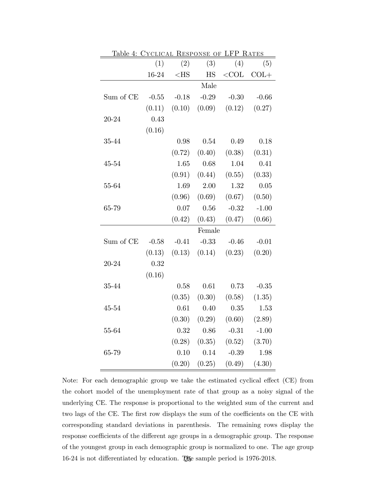| Table 4: CYCLICAL RESPONSE OF LFP RATES |         |          |                            |                   |         |
|-----------------------------------------|---------|----------|----------------------------|-------------------|---------|
|                                         | (1)     | (2)      | (3)                        | (4)               | (5)     |
|                                         | 16-24   | $<$ HS   | $\mathop{\rm HS}\nolimits$ | ${<}\mathrm{COL}$ | $COL+$  |
|                                         |         |          | Male                       |                   |         |
| Sum of CE                               | $-0.55$ | $-0.18$  | $-0.29$                    | $-0.30$           | $-0.66$ |
|                                         | (0.11)  |          | $(0.10)$ $(0.09)$          | (0.12)            | (0.27)  |
| 20-24                                   | 0.43    |          |                            |                   |         |
|                                         | (0.16)  |          |                            |                   |         |
| 35-44                                   |         | 0.98     | 0.54                       | 0.49              | 0.18    |
|                                         |         | (0.72)   | (0.40)                     | (0.38)            | (0.31)  |
| 45-54                                   |         | 1.65     | 0.68                       | 1.04              | 0.41    |
|                                         |         | (0.91)   | (0.44)                     | (0.55)            | (0.33)  |
| 55-64                                   |         | 1.69     | 2.00                       | 1.32              | 0.05    |
|                                         |         | (0.96)   | (0.69)                     | (0.67)            | (0.50)  |
| 65-79                                   |         | 0.07     | 0.56                       | $-0.32$           | $-1.00$ |
|                                         |         | (0.42)   | (0.43)                     | (0.47)            | (0.66)  |
|                                         |         |          | Female                     |                   |         |
| Sum of CE                               | $-0.58$ | $-0.41$  | $-0.33$                    | $-0.46$           | $-0.01$ |
|                                         | (0.13)  | (0.13)   | (0.14)                     | (0.23)            | (0.20)  |
| 20-24                                   | 0.32    |          |                            |                   |         |
|                                         | (0.16)  |          |                            |                   |         |
| 35-44                                   |         | 0.58     | 0.61                       | 0.73              | $-0.35$ |
|                                         |         | (0.35)   | (0.30)                     | (0.58)            | (1.35)  |
| 45-54                                   |         | $0.61\,$ | 0.40                       | 0.35              | 1.53    |
|                                         |         | (0.30)   | (0.29)                     | (0.60)            | (2.89)  |
| 55-64                                   |         | 0.32     | 0.86                       | $-0.31$           | $-1.00$ |
|                                         |         | (0.28)   | (0.35)                     | (0.52)            | (3.70)  |
| 65-79                                   |         | 0.10     | 0.14                       | $-0.39$           | 1.98    |
|                                         |         | (0.20)   | (0.25)                     | (0.49)            | (4.30)  |

Note: For each demographic group we take the estimated cyclical effect (CE) from the cohort model of the unemployment rate of that group as a noisy signal of the underlying CE. The response is proportional to the weighted sum of the current and two lags of the CE. The first row displays the sum of the coefficients on the CE with corresponding standard deviations in parenthesis. The remaining rows display the response coefficients of the different age groups in a demographic group. The response of the youngest group in each demographic group is normalized to one. The age group 16-24 is not differentiated by education. The sample period is  $1976-2018$ .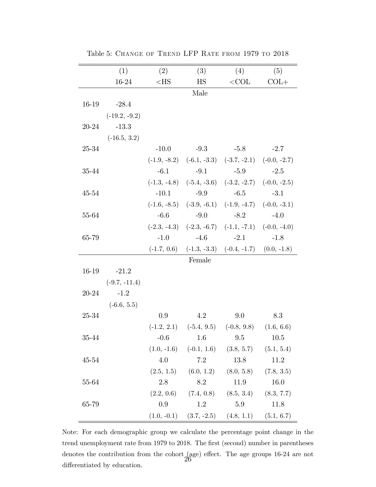|       | (1)             | (2)     | (3)                        | (4)                                                         | (5)    |
|-------|-----------------|---------|----------------------------|-------------------------------------------------------------|--------|
|       | 16-24           | $<$ HS  | $\mathop{\rm HS}\nolimits$ | ${<}\mathrm{COL}$                                           | $COL+$ |
|       |                 |         | Male                       |                                                             |        |
| 16-19 | $-28.4$         |         |                            |                                                             |        |
|       | $(-19.2, -9.2)$ |         |                            |                                                             |        |
| 20-24 | $-13.3$         |         |                            |                                                             |        |
|       | $(-16.5, 3.2)$  |         |                            |                                                             |        |
| 25-34 |                 | $-10.0$ | $-9.3$                     | $-5.8$                                                      | $-2.7$ |
|       |                 |         |                            | $(-1.9, -8.2)$ $(-6.1, -3.3)$ $(-3.7, -2.1)$ $(-0.0, -2.7)$ |        |
| 35-44 |                 | $-6.1$  | $-9.1$                     | $-5.9$                                                      | $-2.5$ |
|       |                 |         |                            | $(-1.3, -4.8)$ $(-5.4, -3.6)$ $(-3.2, -2.7)$ $(-0.0, -2.5)$ |        |
| 45-54 |                 | $-10.1$ | $-9.9$ $-6.5$              |                                                             | $-3.1$ |
|       |                 |         |                            | $(-1.6, -8.5)$ $(-3.9, -6.1)$ $(-1.9, -4.7)$ $(-0.0, -3.1)$ |        |
| 55-64 |                 | $-6.6$  | $-9.0$                     | $-8.2$                                                      | $-4.0$ |
|       |                 |         |                            | $(-2.3, -4.3)$ $(-2.3, -6.7)$ $(-1.1, -7.1)$ $(-0.0, -4.0)$ |        |
| 65-79 |                 | $-1.0$  | $-4.6$                     | $-2.1$                                                      | $-1.8$ |
|       |                 |         |                            | $(-1.7, 0.6)$ $(-1.3, -3.3)$ $(-0.4, -1.7)$ $(0.0, -1.8)$   |        |
|       |                 |         | Female                     |                                                             |        |
| 16-19 | $-21.2$         |         |                            |                                                             |        |
|       | $(-9.7, -11.4)$ |         |                            |                                                             |        |
| 20-24 | $-1.2$          |         |                            |                                                             |        |
|       | $(-6.6, 5.5)$   |         |                            |                                                             |        |
| 25-34 |                 | 0.9     | 4.2                        | 9.0                                                         | 8.3    |
|       |                 |         |                            | $(-1.2, 2.1)$ $(-5.4, 9.5)$ $(-0.8, 9.8)$ $(1.6, 6.6)$      |        |
| 35-44 |                 |         |                            | $-0.6$ 1.6 9.5 10.5                                         |        |
|       |                 |         |                            | $(1.0, -1.6)$ $(-0.1, 1.6)$ $(3.8, 5.7)$ $(5.1, 5.4)$       |        |
| 45-54 |                 | 4.0     | 7.2                        | 13.8                                                        | 11.2   |
|       |                 |         |                            | $(2.5, 1.5)$ $(6.0, 1.2)$ $(8.0, 5.8)$ $(7.8, 3.5)$         |        |
| 55-64 |                 | 2.8     | 8.2                        | 11.9                                                        | 16.0   |
|       |                 |         |                            | $(2.2, 0.6)$ $(7.4, 0.8)$ $(8.5, 3.4)$ $(8.3, 7.7)$         |        |
| 65-79 |                 | 0.9     | 1.2                        | 5.9                                                         | 11.8   |
|       |                 |         |                            | $(1.0, -0.1)$ $(3.7, -2.5)$ $(4.8, 1.1)$ $(5.1, 6.7)$       |        |

Table 5: Change of Trend LFP Rate from 1979 to 2018

Note: For each demographic group we calculate the percentage point change in the trend unemployment rate from 1979 to 2018. The first (second) number in parentheses denotes the contribution from the cohort (age) effect. The age groups 16-24 are not differentiated by education.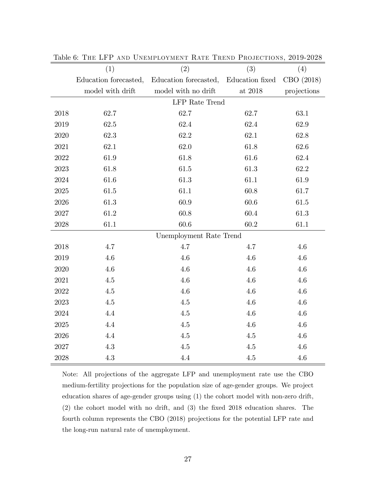|      | (1)                     | (2)                   | (3)             | (4)         |  |  |
|------|-------------------------|-----------------------|-----------------|-------------|--|--|
|      | Education forecasted,   | Education forecasted, | Education fixed | CBO (2018)  |  |  |
|      | model with drift        | model with no drift   | at $2018\,$     | projections |  |  |
|      | <b>LFP</b> Rate Trend   |                       |                 |             |  |  |
| 2018 | 62.7                    | 62.7                  | 62.7            | 63.1        |  |  |
| 2019 | 62.5                    | 62.4                  | 62.4            | 62.9        |  |  |
| 2020 | 62.3                    | 62.2                  | 62.1            | 62.8        |  |  |
| 2021 | 62.1                    | 62.0                  | 61.8            | $62.6\,$    |  |  |
| 2022 | 61.9                    | 61.8                  | 61.6            | 62.4        |  |  |
| 2023 | 61.8                    | 61.5                  | 61.3            | 62.2        |  |  |
| 2024 | 61.6                    | 61.3                  | 61.1            | 61.9        |  |  |
| 2025 | $61.5\,$                | $61.1\,$              | 60.8            | 61.7        |  |  |
| 2026 | 61.3                    | 60.9                  | 60.6            | $61.5\,$    |  |  |
| 2027 | $61.2\,$                | 60.8                  | 60.4            | 61.3        |  |  |
| 2028 | 61.1                    | 60.6                  | 60.2            | 61.1        |  |  |
|      | Unemployment Rate Trend |                       |                 |             |  |  |
| 2018 | 4.7                     | 4.7                   | 4.7             | $4.6\,$     |  |  |
| 2019 | 4.6                     | 4.6                   | 4.6             | $4.6\,$     |  |  |
| 2020 | 4.6                     | 4.6                   | 4.6             | 4.6         |  |  |
| 2021 | 4.5                     | 4.6                   | 4.6             | 4.6         |  |  |
| 2022 | $4.5\,$                 | 4.6                   | 4.6             | 4.6         |  |  |
| 2023 | $4.5\,$                 | $4.5\,$               | 4.6             | $4.6\,$     |  |  |
| 2024 | 4.4                     | $4.5\,$               | 4.6             | $4.6\,$     |  |  |
| 2025 | 4.4                     | 4.5                   | 4.6             | $4.6\,$     |  |  |
| 2026 | 4.4                     | 4.5                   | $4.5\,$         | $4.6\,$     |  |  |
| 2027 | 4.3                     | 4.5                   | 4.5             | 4.6         |  |  |
| 2028 | 4.3                     | 4.4                   | $4.5\,$         | 4.6         |  |  |

Table 6: The LFP and Unemployment Rate Trend Projections, 2019-2028

Note: All projections of the aggregate LFP and unemployment rate use the CBO medium-fertility projections for the population size of age-gender groups. We project education shares of age-gender groups using (1) the cohort model with non-zero drift,  $(2)$  the cohort model with no drift, and  $(3)$  the fixed 2018 education shares. The fourth column represents the CBO (2018) projections for the potential LFP rate and the long-run natural rate of unemployment.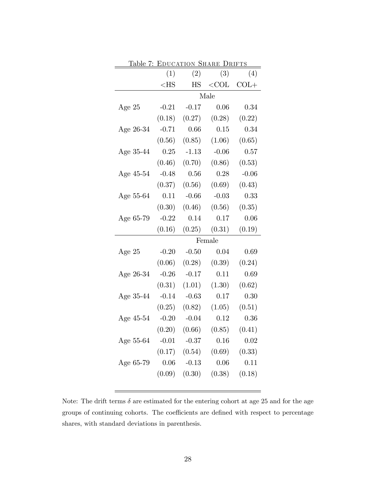|           | Table 7: EDUCATION SHARE DRIFTS |           |         |         |  |  |
|-----------|---------------------------------|-----------|---------|---------|--|--|
|           | (1)                             | (2)       | (3)     | (4)     |  |  |
|           | $<$ HS                          | <b>HS</b> | $<$ COL | $COL+$  |  |  |
|           | Male                            |           |         |         |  |  |
| Age 25    | $-0.21$                         | $-0.17$   | 0.06    | 0.34    |  |  |
|           | (0.18)                          | (0.27)    | (0.28)  | (0.22)  |  |  |
| Age 26-34 | $-0.71$                         | 0.66      | 0.15    | 0.34    |  |  |
|           | (0.56)                          | (0.85)    | (1.06)  | (0.65)  |  |  |
| Age 35-44 | 0.25                            | $-1.13$   | $-0.06$ | 0.57    |  |  |
|           | (0.46)                          | (0.70)    | (0.86)  | (0.53)  |  |  |
| Age 45-54 | $-0.48$                         | 0.56      | 0.28    | $-0.06$ |  |  |
|           | (0.37)                          | (0.56)    | (0.69)  | (0.43)  |  |  |
| Age 55-64 | 0.11                            | $-0.66$   | $-0.03$ | 0.33    |  |  |
|           | (0.30)                          | (0.46)    | (0.56)  | (0.35)  |  |  |
| Age 65-79 | $-0.22$                         | 0.14      | 0.17    | 0.06    |  |  |
|           | (0.16)                          | (0.25)    | (0.31)  | (0.19)  |  |  |
|           | Female                          |           |         |         |  |  |
| Age $25$  | $-0.20$                         | $-0.50$   | 0.04    | 0.69    |  |  |
|           | (0.06)                          | (0.28)    | (0.39)  | (0.24)  |  |  |
| Age 26-34 | $-0.26$                         | $-0.17$   | 0.11    | 0.69    |  |  |
|           | (0.31)                          | (1.01)    | (1.30)  | (0.62)  |  |  |
| Age 35-44 | $-0.14$                         | $-0.63$   | 0.17    | 0.30    |  |  |
|           | (0.25)                          | (0.82)    | (1.05)  | (0.51)  |  |  |
| Age 45-54 | $-0.20$                         | $-0.04$   | 0.12    | 0.36    |  |  |
|           | (0.20)                          | (0.66)    | (0.85)  | (0.41)  |  |  |
| Age 55-64 | $-0.01$                         | $-0.37$   | 0.16    | 0.02    |  |  |
|           | (0.17)                          | (0.54)    | (0.69)  | (0.33)  |  |  |
| Age 65-79 | 0.06                            | $-0.13$   | 0.06    | 0.11    |  |  |
|           | (0.09)                          | (0.30)    | (0.38)  | (0.18)  |  |  |
|           |                                 |           |         |         |  |  |

Note: The drift terms  $\delta$  are estimated for the entering cohort at age 25 and for the age groups of continuing cohorts. The coefficients are defined with respect to percentage shares, with standard deviations in parenthesis.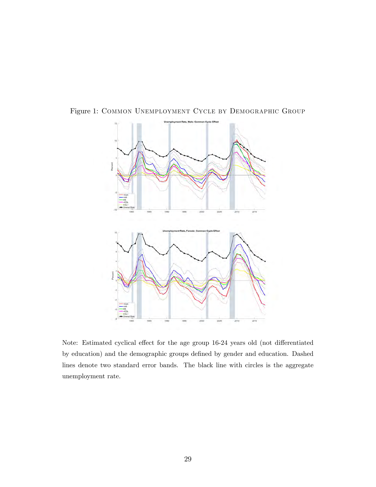

Figure 1: Common Unemployment Cycle by Demographic Group

Note: Estimated cyclical effect for the age group 16-24 years old (not differentiated by education) and the demographic groups defined by gender and education. Dashed lines denote two standard error bands. The black line with circles is the aggregate unemployment rate.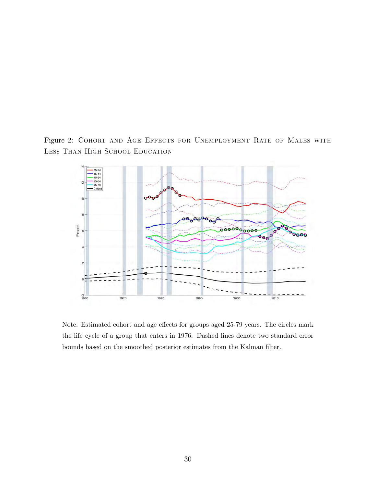Figure 2: Cohort and Age Effects for Unemployment Rate of Males with Less Than High School Education



Note: Estimated cohort and age effects for groups aged 25-79 years. The circles mark the life cycle of a group that enters in 1976. Dashed lines denote two standard error bounds based on the smoothed posterior estimates from the Kalman filter.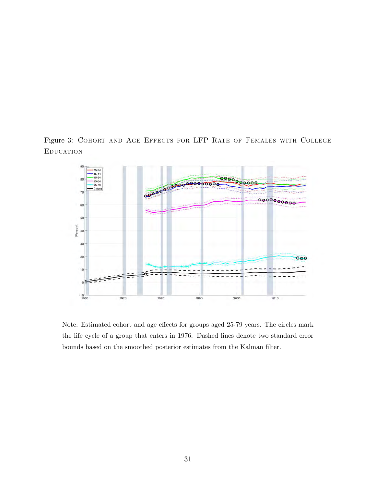Figure 3: Cohort and Age Effects for LFP Rate of Females with College **EDUCATION** 



Note: Estimated cohort and age effects for groups aged 25-79 years. The circles mark the life cycle of a group that enters in 1976. Dashed lines denote two standard error bounds based on the smoothed posterior estimates from the Kalman filter.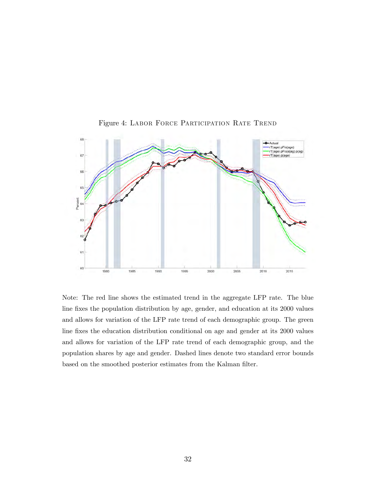

Figure 4: Labor Force Participation Rate Trend

Note: The red line shows the estimated trend in the aggregate LFP rate. The blue line fixes the population distribution by age, gender, and education at its 2000 values and allows for variation of the LFP rate trend of each demographic group. The green line fixes the education distribution conditional on age and gender at its 2000 values and allows for variation of the LFP rate trend of each demographic group, and the population shares by age and gender. Dashed lines denote two standard error bounds based on the smoothed posterior estimates from the Kalman filter.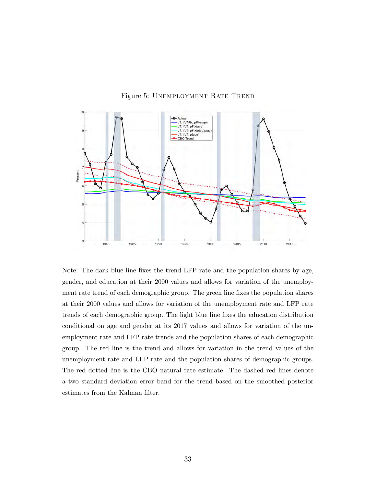



Note: The dark blue line fixes the trend LFP rate and the population shares by age, gender, and education at their 2000 values and allows for variation of the unemployment rate trend of each demographic group. The green line fixes the population shares at their 2000 values and allows for variation of the unemployment rate and LFP rate trends of each demographic group. The light blue line Öxes the education distribution conditional on age and gender at its 2017 values and allows for variation of the unemployment rate and LFP rate trends and the population shares of each demographic group. The red line is the trend and allows for variation in the trend values of the unemployment rate and LFP rate and the population shares of demographic groups. The red dotted line is the CBO natural rate estimate. The dashed red lines denote a two standard deviation error band for the trend based on the smoothed posterior estimates from the Kalman filter.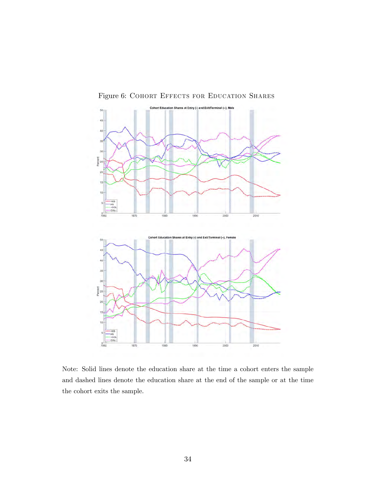Figure 6: COHORT EFFECTS FOR EDUCATION SHARES



Note: Solid lines denote the education share at the time a cohort enters the sample and dashed lines denote the education share at the end of the sample or at the time the cohort exits the sample.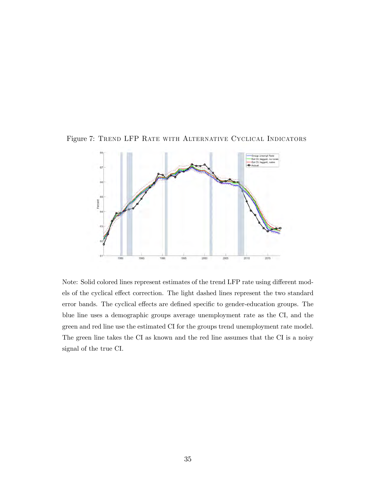Figure 7: Trend LFP Rate with Alternative Cyclical Indicators



Note: Solid colored lines represent estimates of the trend LFP rate using different models of the cyclical effect correction. The light dashed lines represent the two standard error bands. The cyclical effects are defined specific to gender-education groups. The blue line uses a demographic groups average unemployment rate as the CI, and the green and red line use the estimated CI for the groups trend unemployment rate model. The green line takes the CI as known and the red line assumes that the CI is a noisy signal of the true CI.